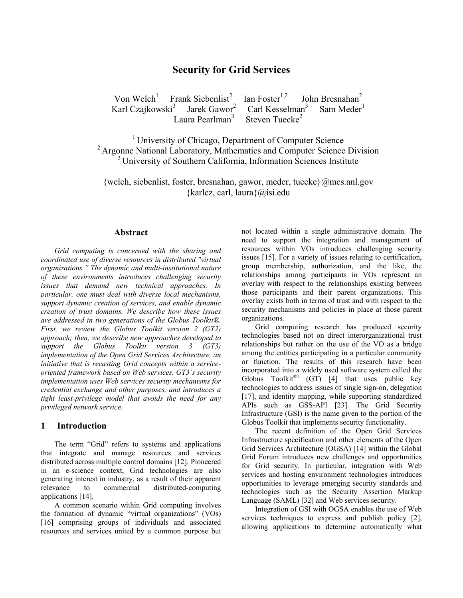# **Security for Grid Services**

Von Welch $^1$ Frank Siebenlist<sup>2</sup> Ian Foster<sup>1,2</sup> John Bresnahan<sup>2</sup> Karl Czaikowski<sup>3</sup> Jarek Gawor<sup>2</sup> Carl Kesselman<sup>3</sup>  $Sam$  Meder<sup>1</sup> Laura Pearlman<sup>3</sup> Steven Tuecke<sup>2</sup>

 $1$  University of Chicago, Department of Computer Science <sup>2</sup> Argonne National Laboratory, Mathematics and Computer Science Division <sup>3</sup> University of Southern California, Information Sciences Institute

{welch, siebenlist, foster, bresnahan, gawor, meder, tuecke}@mcs.anl.gov {karlcz, carl, laura}@isi.edu

## **Abstract**

*Grid computing is concerned with the sharing and coordinated use of diverse resources in distributed "virtual organizations." The dynamic and multi-institutional nature of these environments introduces challenging security issues that demand new technical approaches. In particular, one must deal with diverse local mechanisms, support dynamic creation of services, and enable dynamic creation of trust domains. We describe how these issues are addressed in two generations of the Globus Toolkit®. First, we review the Globus Toolkit version 2 (GT2) approach; then, we describe new approaches developed to support the Globus Toolkit version 3 (GT3) implementation of the Open Grid Services Architecture, an initiative that is recasting Grid concepts within a serviceoriented framework based on Web services. GT3's security implementation uses Web services security mechanisms for credential exchange and other purposes, and introduces a tight least-privilege model that avoids the need for any privileged network service.* 

#### **1 Introduction**

The term "Grid" refers to systems and applications that integrate and manage resources and services distributed across multiple control domains [12]. Pioneered in an e-science context, Grid technologies are also generating interest in industry, as a result of their apparent relevance to commercial distributed-computing applications [14].

A common scenario within Grid computing involves the formation of dynamic "virtual organizations" (VOs) [16] comprising groups of individuals and associated resources and services united by a common purpose but not located within a single administrative domain. The need to support the integration and management of resources within VOs introduces challenging security issues [15]. For a variety of issues relating to certification, group membership, authorization, and the like, the relationships among participants in VOs represent an overlay with respect to the relationships existing between those participants and their parent organizations. This overlay exists both in terms of trust and with respect to the security mechanisms and policies in place at those parent organizations.

Grid computing research has produced security technologies based not on direct interorganizational trust relationships but rather on the use of the VO as a bridge among the entities participating in a particular community or function. The results of this research have been incorporated into a widely used software system called the Globus Toolkit<sup>®1</sup> (GT) [4] that uses public key technologies to address issues of single sign-on, delegation [17], and identity mapping, while supporting standardized APIs such as GSS-API [23]. The Grid Security Infrastructure (GSI) is the name given to the portion of the Globus Toolkit that implements security functionality.

The recent definition of the Open Grid Services Infrastructure specification and other elements of the Open Grid Services Architecture (OGSA) [14] within the Global Grid Forum introduces new challenges and opportunities for Grid security. In particular, integration with Web services and hosting environment technologies introduces opportunities to leverage emerging security standards and technologies such as the Security Assertion Markup Language (SAML) [32] and Web services security.

Integration of GSI with OGSA enables the use of Web services techniques to express and publish policy [2], allowing applications to determine automatically what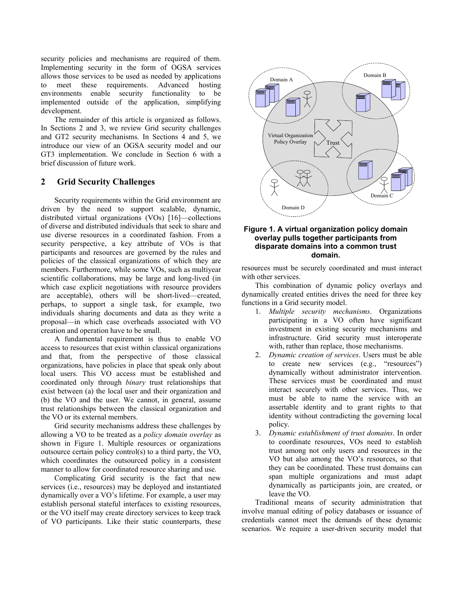security policies and mechanisms are required of them. Implementing security in the form of OGSA services allows those services to be used as needed by applications to meet these requirements. Advanced hosting environments enable security functionality to be implemented outside of the application, simplifying development.

The remainder of this article is organized as follows. In Sections 2 and 3, we review Grid security challenges and GT2 security mechanisms. In Sections 4 and 5, we introduce our view of an OGSA security model and our GT3 implementation. We conclude in Section 6 with a brief discussion of future work.

# **2 Grid Security Challenges**

Security requirements within the Grid environment are driven by the need to support scalable, dynamic, distributed virtual organizations (VOs) [16]—collections of diverse and distributed individuals that seek to share and use diverse resources in a coordinated fashion. From a security perspective, a key attribute of VOs is that participants and resources are governed by the rules and policies of the classical organizations of which they are members. Furthermore, while some VOs, such as multiyear scientific collaborations, may be large and long-lived (in which case explicit negotiations with resource providers are acceptable), others will be short-lived—created, perhaps, to support a single task, for example, two individuals sharing documents and data as they write a proposal—in which case overheads associated with VO creation and operation have to be small.

A fundamental requirement is thus to enable VO access to resources that exist within classical organizations and that, from the perspective of those classical organizations, have policies in place that speak only about local users. This VO access must be established and coordinated only through *binary* trust relationships that exist between (a) the local user and their organization and (b) the VO and the user. We cannot, in general, assume trust relationships between the classical organization and the VO or its external members.

Grid security mechanisms address these challenges by allowing a VO to be treated as a *policy domain overlay* as shown in Figure 1. Multiple resources or organizations outsource certain policy control(s) to a third party, the VO, which coordinates the outsourced policy in a consistent manner to allow for coordinated resource sharing and use.

Complicating Grid security is the fact that new services (i.e., resources) may be deployed and instantiated dynamically over a VO's lifetime. For example, a user may establish personal stateful interfaces to existing resources, or the VO itself may create directory services to keep track of VO participants. Like their static counterparts, these



## **Figure 1. A virtual organization policy domain overlay pulls together participants from disparate domains into a common trust domain.**

resources must be securely coordinated and must interact with other services.

This combination of dynamic policy overlays and dynamically created entities drives the need for three key functions in a Grid security model.

- 1. *Multiple security mechanisms*. Organizations participating in a VO often have significant investment in existing security mechanisms and infrastructure. Grid security must interoperate with, rather than replace, those mechanisms.
- 2. *Dynamic creation of services*. Users must be able to create new services (e.g., "resources") dynamically without administrator intervention. These services must be coordinated and must interact securely with other services. Thus, we must be able to name the service with an assertable identity and to grant rights to that identity without contradicting the governing local policy.
- 3. *Dynamic establishment of trust domains*. In order to coordinate resources, VOs need to establish trust among not only users and resources in the VO but also among the VO's resources, so that they can be coordinated. These trust domains can span multiple organizations and must adapt dynamically as participants join, are created, or leave the VO.

Traditional means of security administration that involve manual editing of policy databases or issuance of credentials cannot meet the demands of these dynamic scenarios. We require a user-driven security model that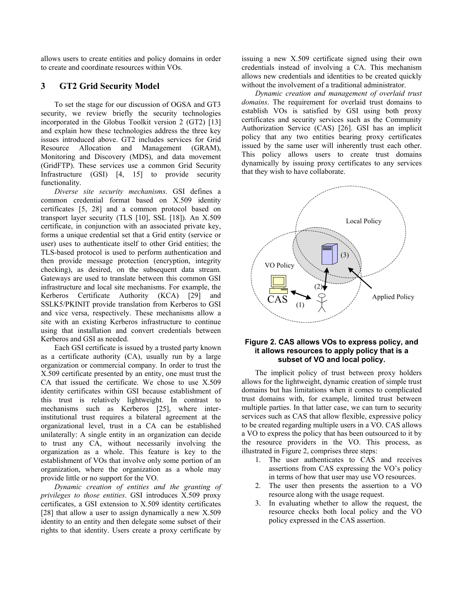allows users to create entities and policy domains in order to create and coordinate resources within VOs.

# **3 GT2 Grid Security Model**

To set the stage for our discussion of OGSA and GT3 security, we review briefly the security technologies incorporated in the Globus Toolkit version 2 (GT2) [13] and explain how these technologies address the three key issues introduced above. GT2 includes services for Grid Resource Allocation and Management (GRAM), Monitoring and Discovery (MDS), and data movement (GridFTP). These services use a common Grid Security Infrastructure (GSI) [4, 15] to provide security functionality.

*Diverse site security mechanisms*. GSI defines a common credential format based on X.509 identity certificates [5, 28] and a common protocol based on transport layer security (TLS [10], SSL [18]). An X.509 certificate, in conjunction with an associated private key, forms a unique credential set that a Grid entity (service or user) uses to authenticate itself to other Grid entities; the TLS-based protocol is used to perform authentication and then provide message protection (encryption, integrity checking), as desired, on the subsequent data stream. Gateways are used to translate between this common GSI infrastructure and local site mechanisms. For example, the Kerberos Certificate Authority (KCA) [29] and SSLK5/PKINIT provide translation from Kerberos to GSI and vice versa, respectively. These mechanisms allow a site with an existing Kerberos infrastructure to continue using that installation and convert credentials between Kerberos and GSI as needed.

Each GSI certificate is issued by a trusted party known as a certificate authority (CA), usually run by a large organization or commercial company. In order to trust the X.509 certificate presented by an entity, one must trust the CA that issued the certificate. We chose to use X.509 identity certificates within GSI because establishment of this trust is relatively lightweight. In contrast to mechanisms such as Kerberos [25], where interinstitutional trust requires a bilateral agreement at the organizational level, trust in a CA can be established unilaterally: A single entity in an organization can decide to trust any CA, without necessarily involving the organization as a whole. This feature is key to the establishment of VOs that involve only some portion of an organization, where the organization as a whole may provide little or no support for the VO.

*Dynamic creation of entities and the granting of privileges to those entities*. GSI introduces X.509 proxy certificates, a GSI extension to X.509 identity certificates [28] that allow a user to assign dynamically a new X.509 identity to an entity and then delegate some subset of their rights to that identity. Users create a proxy certificate by

issuing a new X.509 certificate signed using their own credentials instead of involving a CA. This mechanism allows new credentials and identities to be created quickly without the involvement of a traditional administrator.

*Dynamic creation and management of overlaid trust domains*. The requirement for overlaid trust domains to establish VOs is satisfied by GSI using both proxy certificates and security services such as the Community Authorization Service (CAS) [26]. GSI has an implicit policy that any two entities bearing proxy certificates issued by the same user will inherently trust each other. This policy allows users to create trust domains dynamically by issuing proxy certificates to any services that they wish to have collaborate.



### **Figure 2. CAS allows VOs to express policy, and it allows resources to apply policy that is a subset of VO and local policy.**

The implicit policy of trust between proxy holders allows for the lightweight, dynamic creation of simple trust domains but has limitations when it comes to complicated trust domains with, for example, limited trust between multiple parties. In that latter case, we can turn to security services such as CAS that allow flexible, expressive policy to be created regarding multiple users in a VO. CAS allows a VO to express the policy that has been outsourced to it by the resource providers in the VO. This process, as illustrated in Figure 2, comprises three steps:

- 1. The user authenticates to CAS and receives assertions from CAS expressing the VO's policy in terms of how that user may use VO resources.
- 2. The user then presents the assertion to a VO resource along with the usage request.
- 3. In evaluating whether to allow the request, the resource checks both local policy and the VO policy expressed in the CAS assertion.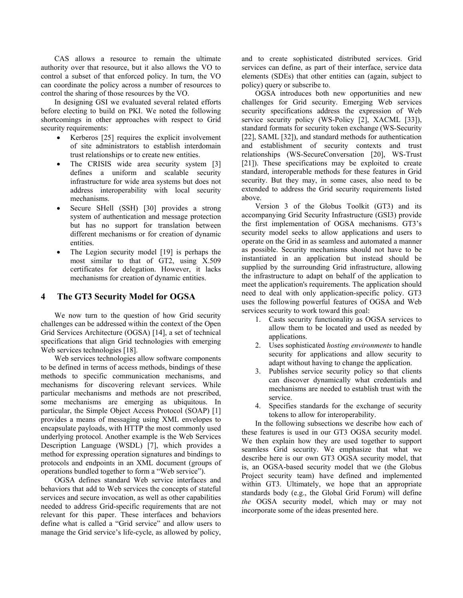CAS allows a resource to remain the ultimate authority over that resource, but it also allows the VO to control a subset of that enforced policy. In turn, the VO can coordinate the policy across a number of resources to control the sharing of those resources by the VO.

In designing GSI we evaluated several related efforts before electing to build on PKI. We noted the following shortcomings in other approaches with respect to Grid security requirements:

- Kerberos [25] requires the explicit involvement of site administrators to establish interdomain trust relationships or to create new entities.
- The CRISIS wide area security system [3] defines a uniform and scalable security infrastructure for wide area systems but does not address interoperability with local security mechanisms.
- Secure SHell (SSH) [30] provides a strong system of authentication and message protection but has no support for translation between different mechanisms or for creation of dynamic entities.
- The Legion security model [19] is perhaps the most similar to that of GT2, using X.509 certificates for delegation. However, it lacks mechanisms for creation of dynamic entities.

# **4 The GT3 Security Model for OGSA**

We now turn to the question of how Grid security challenges can be addressed within the context of the Open Grid Services Architecture (OGSA) [14], a set of technical specifications that align Grid technologies with emerging Web services technologies [18].

Web services technologies allow software components to be defined in terms of access methods, bindings of these methods to specific communication mechanisms, and mechanisms for discovering relevant services. While particular mechanisms and methods are not prescribed, some mechanisms are emerging as ubiquitous. In particular, the Simple Object Access Protocol (SOAP) [1] provides a means of messaging using XML envelopes to encapsulate payloads, with HTTP the most commonly used underlying protocol. Another example is the Web Services Description Language (WSDL) [7], which provides a method for expressing operation signatures and bindings to protocols and endpoints in an XML document (groups of operations bundled together to form a "Web service").

OGSA defines standard Web service interfaces and behaviors that add to Web services the concepts of stateful services and secure invocation, as well as other capabilities needed to address Grid-specific requirements that are not relevant for this paper. These interfaces and behaviors define what is called a "Grid service" and allow users to manage the Grid service's life-cycle, as allowed by policy,

and to create sophisticated distributed services. Grid services can define, as part of their interface, service data elements (SDEs) that other entities can (again, subject to policy) query or subscribe to.

OGSA introduces both new opportunities and new challenges for Grid security. Emerging Web services security specifications address the expression of Web service security policy (WS-Policy [2], XACML [33]), standard formats for security token exchange (WS-Security [22], SAML [32]), and standard methods for authentication and establishment of security contexts and trust relationships (WS-SecureConversation [20], WS-Trust [21]). These specifications may be exploited to create standard, interoperable methods for these features in Grid security. But they may, in some cases, also need to be extended to address the Grid security requirements listed above.

Version 3 of the Globus Toolkit (GT3) and its accompanying Grid Security Infrastructure (GSI3) provide the first implementation of OGSA mechanisms. GT3's security model seeks to allow applications and users to operate on the Grid in as seamless and automated a manner as possible. Security mechanisms should not have to be instantiated in an application but instead should be supplied by the surrounding Grid infrastructure, allowing the infrastructure to adapt on behalf of the application to meet the application's requirements. The application should need to deal with only application-specific policy. GT3 uses the following powerful features of OGSA and Web services security to work toward this goal:

- 1. Casts security functionality as OGSA services to allow them to be located and used as needed by applications.
- 2. Uses sophisticated *hosting environments* to handle security for applications and allow security to adapt without having to change the application.
- 3. Publishes service security policy so that clients can discover dynamically what credentials and mechanisms are needed to establish trust with the service.
- 4. Specifies standards for the exchange of security tokens to allow for interoperability.

In the following subsections we describe how each of these features is used in our GT3 OGSA security model. We then explain how they are used together to support seamless Grid security. We emphasize that what we describe here is our own GT3 OGSA security model, that is, an OGSA-based security model that we (the Globus Project security team) have defined and implemented within GT3. Ultimately, we hope that an appropriate standards body (e.g., the Global Grid Forum) will define *the* OGSA security model, which may or may not incorporate some of the ideas presented here.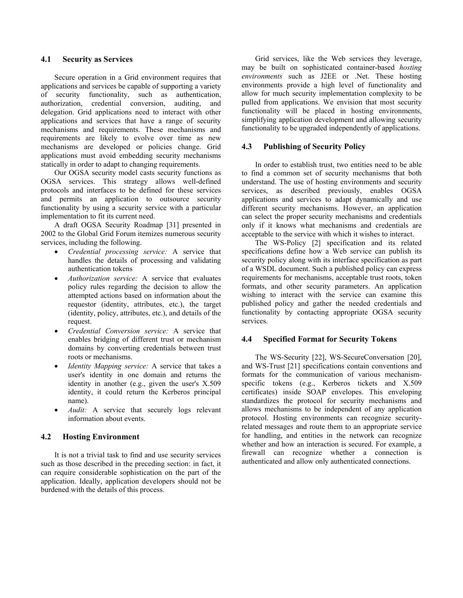## **4.1 Security as Services**

Secure operation in a Grid environment requires that applications and services be capable of supporting a variety of security functionality, such as authentication, authorization, credential conversion, auditing, and delegation. Grid applications need to interact with other applications and services that have a range of security mechanisms and requirements. These mechanisms and requirements are likely to evolve over time as new mechanisms are developed or policies change. Grid applications must avoid embedding security mechanisms statically in order to adapt to changing requirements.

Our OGSA security model casts security functions as OGSA services. This strategy allows well-defined protocols and interfaces to be defined for these services and permits an application to outsource security functionality by using a security service with a particular implementation to fit its current need.

A draft OGSA Security Roadmap [31] presented in 2002 to the Global Grid Forum itemizes numerous security services, including the following.

- *Credential processing service:* A service that handles the details of processing and validating authentication tokens
- *Authorization service:* A service that evaluates policy rules regarding the decision to allow the attempted actions based on information about the requestor (identity, attributes, etc.), the target (identity, policy, attributes, etc.), and details of the request.
- *Credential Conversion service:* A service that enables bridging of different trust or mechanism domains by converting credentials between trust roots or mechanisms.
- *Identity Mapping service:* A service that takes a user's identity in one domain and returns the identity in another (e.g., given the user's X.509 identity, it could return the Kerberos principal name).
- Audit: A service that securely logs relevant information about events.

## **4.2 Hosting Environment**

It is not a trivial task to find and use security services such as those described in the preceding section: in fact, it can require considerable sophistication on the part of the application. Ideally, application developers should not be burdened with the details of this process.

Grid services, like the Web services they leverage, may be built on sophisticated container-based *hosting environments* such as J2EE or .Net. These hosting environments provide a high level of functionality and allow for much security implementation complexity to be pulled from applications. We envision that most security functionality will be placed in hosting environments, simplifying application development and allowing security functionality to be upgraded independently of applications.

## **4.3 Publishing of Security Policy**

In order to establish trust, two entities need to be able to find a common set of security mechanisms that both understand. The use of hosting environments and security services, as described previously, enables OGSA applications and services to adapt dynamically and use different security mechanisms. However, an application can select the proper security mechanisms and credentials only if it knows what mechanisms and credentials are acceptable to the service with which it wishes to interact.

The WS-Policy [2] specification and its related specifications define how a Web service can publish its security policy along with its interface specification as part of a WSDL document. Such a published policy can express requirements for mechanisms, acceptable trust roots, token formats, and other security parameters. An application wishing to interact with the service can examine this published policy and gather the needed credentials and functionality by contacting appropriate OGSA security services.

## **4.4 Specified Format for Security Tokens**

The WS-Security [22], WS-SecureConversation [20], and WS-Trust [21] specifications contain conventions and formats for the communication of various mechanismspecific tokens (e.g., Kerberos tickets and X.509 certificates) inside SOAP envelopes. This enveloping standardizes the protocol for security mechanisms and allows mechanisms to be independent of any application protocol. Hosting environments can recognize securityrelated messages and route them to an appropriate service for handling, and entities in the network can recognize whether and how an interaction is secured. For example, a firewall can recognize whether a connection is authenticated and allow only authenticated connections.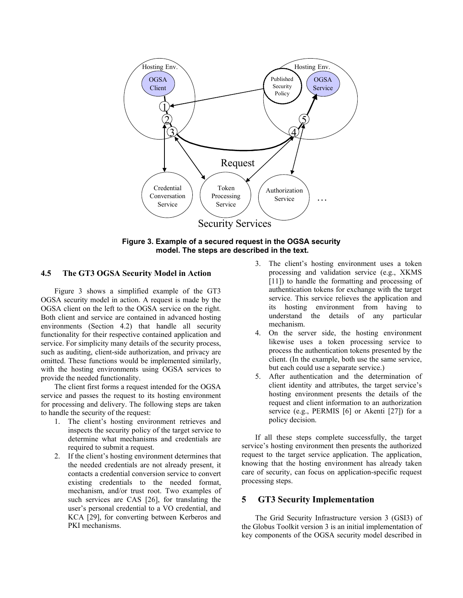

**Figure 3. Example of a secured request in the OGSA security model. The steps are described in the text.**

### **4.5 The GT3 OGSA Security Model in Action**

Figure 3 shows a simplified example of the GT3 OGSA security model in action. A request is made by the OGSA client on the left to the OGSA service on the right. Both client and service are contained in advanced hosting environments (Section 4.2) that handle all security functionality for their respective contained application and service. For simplicity many details of the security process, such as auditing, client-side authorization, and privacy are omitted. These functions would be implemented similarly, with the hosting environments using OGSA services to provide the needed functionality.

The client first forms a request intended for the OGSA service and passes the request to its hosting environment for processing and delivery. The following steps are taken to handle the security of the request:

- 1. The client's hosting environment retrieves and inspects the security policy of the target service to determine what mechanisms and credentials are required to submit a request.
- 2. If the client's hosting environment determines that the needed credentials are not already present, it contacts a credential conversion service to convert existing credentials to the needed format, mechanism, and/or trust root. Two examples of such services are CAS [26], for translating the user's personal credential to a VO credential, and KCA [29], for converting between Kerberos and PKI mechanisms.
- 3. The client's hosting environment uses a token processing and validation service (e.g., XKMS [11]) to handle the formatting and processing of authentication tokens for exchange with the target service. This service relieves the application and its hosting environment from having to understand the details of any particular mechanism.
- 4. On the server side, the hosting environment likewise uses a token processing service to process the authentication tokens presented by the client. (In the example, both use the same service, but each could use a separate service.)
- 5. After authentication and the determination of client identity and attributes, the target service's hosting environment presents the details of the request and client information to an authorization service (e.g., PERMIS [6] or Akenti [27]) for a policy decision.

If all these steps complete successfully, the target service's hosting environment then presents the authorized request to the target service application. The application, knowing that the hosting environment has already taken care of security, can focus on application-specific request processing steps.

# **5 GT3 Security Implementation**

The Grid Security Infrastructure version 3 (GSI3) of the Globus Toolkit version 3 is an initial implementation of key components of the OGSA security model described in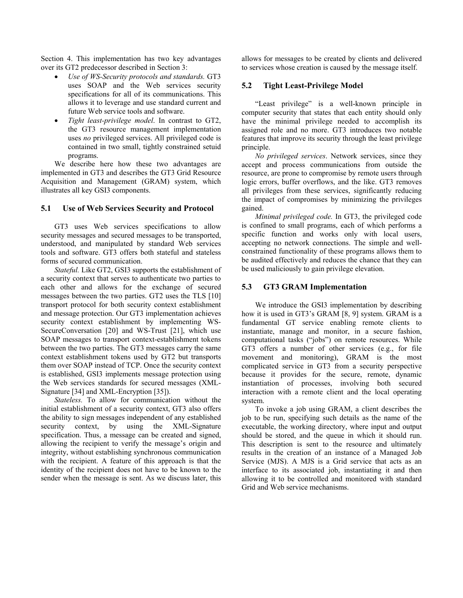Section 4. This implementation has two key advantages over its GT2 predecessor described in Section 3:

- *Use of WS-Security protocols and standards.* GT3 uses SOAP and the Web services security specifications for all of its communications. This allows it to leverage and use standard current and future Web service tools and software.
- *Tight least-privilege model*. In contrast to GT2, the GT3 resource management implementation uses *no* privileged services. All privileged code is contained in two small, tightly constrained setuid programs.

We describe here how these two advantages are implemented in GT3 and describes the GT3 Grid Resource Acquisition and Management (GRAM) system, which illustrates all key GSI3 components.

### **5.1 Use of Web Services Security and Protocol**

GT3 uses Web services specifications to allow security messages and secured messages to be transported, understood, and manipulated by standard Web services tools and software. GT3 offers both stateful and stateless forms of secured communication.

*Stateful.* Like GT2, GSI3 supports the establishment of a security context that serves to authenticate two parties to each other and allows for the exchange of secured messages between the two parties. GT2 uses the TLS [10] transport protocol for both security context establishment and message protection. Our GT3 implementation achieves security context establishment by implementing WS-SecureConversation [20] and WS-Trust [21], which use SOAP messages to transport context-establishment tokens between the two parties. The GT3 messages carry the same context establishment tokens used by GT2 but transports them over SOAP instead of TCP. Once the security context is established, GSI3 implements message protection using the Web services standards for secured messages (XML-Signature [34] and XML-Encryption [35]).

*Stateless.* To allow for communication without the initial establishment of a security context, GT3 also offers the ability to sign messages independent of any established security context, by using the XML-Signature specification. Thus, a message can be created and signed, allowing the recipient to verify the message's origin and integrity, without establishing synchronous communication with the recipient. A feature of this approach is that the identity of the recipient does not have to be known to the sender when the message is sent. As we discuss later, this

allows for messages to be created by clients and delivered to services whose creation is caused by the message itself.

## **5.2 Tight Least-Privilege Model**

"Least privilege" is a well-known principle in computer security that states that each entity should only have the minimal privilege needed to accomplish its assigned role and no more. GT3 introduces two notable features that improve its security through the least privilege principle.

*No privileged services*. Network services, since they accept and process communications from outside the resource, are prone to compromise by remote users through logic errors, buffer overflows, and the like. GT3 removes all privileges from these services, significantly reducing the impact of compromises by minimizing the privileges gained.

*Minimal privileged code.* In GT3, the privileged code is confined to small programs, each of which performs a specific function and works only with local users, accepting no network connections. The simple and wellconstrained functionality of these programs allows them to be audited effectively and reduces the chance that they can be used maliciously to gain privilege elevation.

## **5.3 GT3 GRAM Implementation**

We introduce the GSI3 implementation by describing how it is used in GT3's GRAM [8, 9] system. GRAM is a fundamental GT service enabling remote clients to instantiate, manage and monitor, in a secure fashion, computational tasks ("jobs") on remote resources. While GT3 offers a number of other services (e.g., for file movement and monitoring), GRAM is the most complicated service in GT3 from a security perspective because it provides for the secure, remote, dynamic instantiation of processes, involving both secured interaction with a remote client and the local operating system.

To invoke a job using GRAM, a client describes the job to be run, specifying such details as the name of the executable, the working directory, where input and output should be stored, and the queue in which it should run. This description is sent to the resource and ultimately results in the creation of an instance of a Managed Job Service (MJS). A MJS is a Grid service that acts as an interface to its associated job, instantiating it and then allowing it to be controlled and monitored with standard Grid and Web service mechanisms.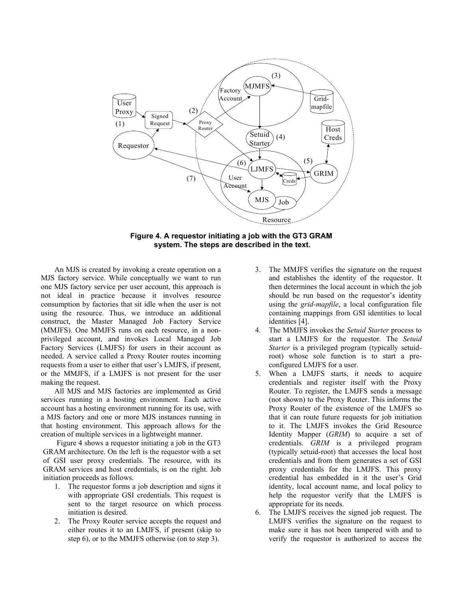

**Figure 4. A requestor initiating a job with the GT3 GRAM system. The steps are described in the text.** 

An MJS is created by invoking a create operation on a MJS factory service. While conceptually we want to run one MJS factory service per user account, this approach is not ideal in practice because it involves resource consumption by factories that sit idle when the user is not using the resource. Thus, we introduce an additional construct, the Master Managed Job Factory Service (MMJFS). One MMJFS runs on each resource, in a nonprivileged account, and invokes Local Managed Job Factory Services (LMJFS) for users in their account as needed. A service called a Proxy Router routes incoming requests from a user to either that user's LMJFS, if present, or the MMJFS, if a LMJFS is not present for the user making the request.

All MJS and MJS factories are implemented as Grid services running in a hosting environment. Each active account has a hosting environment running for its use, with a MJS factory and one or more MJS instances running in that hosting environment. This approach allows for the creation of multiple services in a lightweight manner.

Figure 4 shows a requestor initiating a job in the GT3 GRAM architecture. On the left is the requestor with a set of GSI user proxy credentials. The resource, with its GRAM services and host credentials, is on the right. Job initiation proceeds as follows.

- 1. The requestor forms a job description and signs it with appropriate GSI credentials. This request is sent to the target resource on which process initiation is desired.
- 2. The Proxy Router service accepts the request and either routes it to an LMJFS, if present (skip to step 6), or to the MMJFS otherwise (on to step 3).
- 3. The MMJFS verifies the signature on the request and establishes the identity of the requestor. It then determines the local account in which the job should be run based on the requestor's identity using the *grid-mapfile*, a local configuration file containing mappings from GSI identities to local identities [4].
- 4. The MMJFS invokes the *Setuid Starter* process to start a LMJFS for the requestor. The *Setuid Starter* is a privileged program (typically setuidroot) whose sole function is to start a preconfigured LMJFS for a user.
- 5. When a LMJFS starts, it needs to acquire credentials and register itself with the Proxy Router. To register, the LMJFS sends a message (not shown) to the Proxy Router. This informs the Proxy Router of the existence of the LMJFS so that it can route future requests for job initiation to it. The LMJFS invokes the Grid Resource Identity Mapper (*GRIM*) to acquire a set of credentials. *GRIM* is a privileged program (typically setuid-root) that accesses the local host credentials and from them generates a set of GSI proxy credentials for the LMJFS. This proxy credential has embedded in it the user's Grid identity, local account name, and local policy to help the requestor verify that the LMJFS is appropriate for its needs.
- 6. The LMJFS receives the signed job request. The LMJFS verifies the signature on the request to make sure it has not been tampered with and to verify the requestor is authorized to access the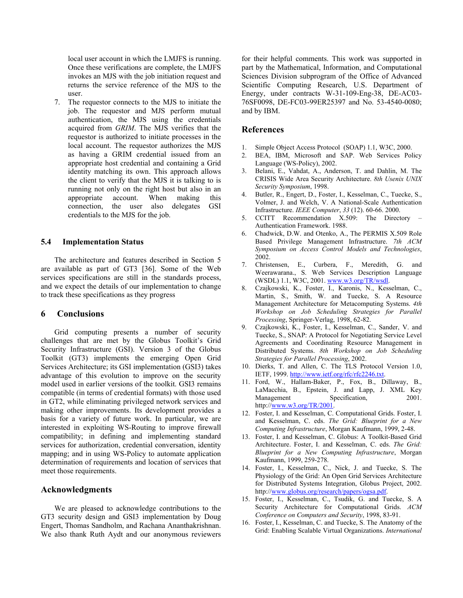local user account in which the LMJFS is running. Once these verifications are complete, the LMJFS invokes an MJS with the job initiation request and returns the service reference of the MJS to the user.

7. The requestor connects to the MJS to initiate the job. The requestor and MJS perform mutual authentication, the MJS using the credentials acquired from *GRIM*. The MJS verifies that the requestor is authorized to initiate processes in the local account. The requestor authorizes the MJS as having a GRIM credential issued from an appropriate host credential and containing a Grid identity matching its own. This approach allows the client to verify that the MJS it is talking to is running not only on the right host but also in an appropriate account. When making this connection, the user also delegates GSI credentials to the MJS for the job.

### **5.4 Implementation Status**

The architecture and features described in Section 5 are available as part of GT3 [36]. Some of the Web services specifications are still in the standards process, and we expect the details of our implementation to change to track these specifications as they progress

#### **6 Conclusions**

Grid computing presents a number of security challenges that are met by the Globus Toolkit's Grid Security Infrastructure (GSI). Version 3 of the Globus Toolkit (GT3) implements the emerging Open Grid Services Architecture; its GSI implementation (GSI3) takes advantage of this evolution to improve on the security model used in earlier versions of the toolkit. GSI3 remains compatible (in terms of credential formats) with those used in GT2, while eliminating privileged network services and making other improvements. Its development provides a basis for a variety of future work. In particular, we are interested in exploiting WS-Routing to improve firewall compatibility; in defining and implementing standard services for authorization, credential conversation, identity mapping; and in using WS-Policy to automate application determination of requirements and location of services that meet those requirements.

## **Acknowledgments**

We are pleased to acknowledge contributions to the GT3 security design and GSI3 implementation by Doug Engert, Thomas Sandholm, and Rachana Ananthakrishnan. We also thank Ruth Aydt and our anonymous reviewers

for their helpful comments. This work was supported in part by the Mathematical, Information, and Computational Sciences Division subprogram of the Office of Advanced Scientific Computing Research, U.S. Department of Energy, under contracts W-31-109-Eng-38, DE-AC03- 76SF0098, DE-FC03-99ER25397 and No. 53-4540-0080; and by IBM.

### **References**

- 1. Simple Object Access Protocol (SOAP) 1.1, W3C, 2000.
- 2. BEA, IBM, Microsoft and SAP. Web Services Policy Language (WS-Policy), 2002.
- 3. Belani, E., Vahdat, A., Anderson, T. and Dahlin, M. The CRISIS Wide Area Security Architecture. *8th Usenix UNIX Security Symposium*, 1998.
- 4. Butler, R., Engert, D., Foster, I., Kesselman, C., Tuecke, S., Volmer, J. and Welch, V. A National-Scale Authentication Infrastructure. *IEEE Computer*, *33* (12). 60-66. 2000.
- 5. CCITT Recommendation X.509: The Directory Authentication Framework. 1988.
- 6. Chadwick, D.W. and Otenko, A., The PERMIS X.509 Role Based Privilege Management Infrastructure. *7th ACM Symposium on Access Control Models and Technologies*, 2002.
- 7. Christensen, E., Curbera, F., Meredith, G. and Weerawarana., S. Web Services Description Language (WSDL) 1.1, W3C, 2001. www.w3.org/TR/wsdl.
- 8. Czajkowski, K., Foster, I., Karonis, N., Kesselman, C., Martin, S., Smith, W. and Tuecke, S. A Resource Management Architecture for Metacomputing Systems. *4th Workshop on Job Scheduling Strategies for Parallel Processing*, Springer-Verlag, 1998, 62-82.
- 9. Czajkowski, K., Foster, I., Kesselman, C., Sander, V. and Tuecke, S., SNAP: A Protocol for Negotiating Service Level Agreements and Coordinating Resource Management in Distributed Systems. *8th Workshop on Job Scheduling Strategies for Parallel Processing*, 2002.
- 10. Dierks, T. and Allen, C. The TLS Protocol Version 1.0, IETF, 1999. http://www.ietf.org/rfc/rfc2246.txt.
- 11. Ford, W., Hallam-Baker, P., Fox, B., Dillaway, B., LaMacchia, B., Epstein, J. and Lapp, J. XML Key Management Specification, 2001. http://www.w3.org/TR/2001.
- 12. Foster, I. and Kesselman, C. Computational Grids. Foster, I. and Kesselman, C. eds. *The Grid: Blueprint for a New Computing Infrastructure*, Morgan Kaufmann, 1999, 2-48.
- 13. Foster, I. and Kesselman, C. Globus: A Toolkit-Based Grid Architecture. Foster, I. and Kesselman, C. eds. *The Grid: Blueprint for a New Computing Infrastructure*, Morgan Kaufmann, 1999, 259-278.
- 14. Foster, I., Kesselman, C., Nick, J. and Tuecke, S. The Physiology of the Grid: An Open Grid Services Architecture for Distributed Systems Integration, Globus Project, 2002. http://www.globus.org/research/papers/ogsa.pdf.
- 15. Foster, I., Kesselman, C., Tsudik, G. and Tuecke, S. A Security Architecture for Computational Grids. *ACM Conference on Computers and Security*, 1998, 83-91.
- 16. Foster, I., Kesselman, C. and Tuecke, S. The Anatomy of the Grid: Enabling Scalable Virtual Organizations. *International*